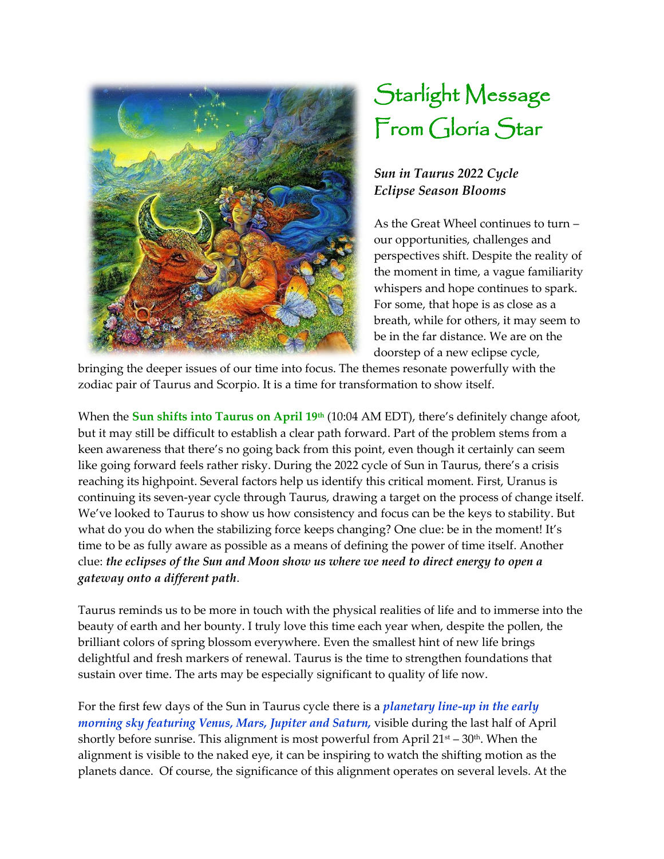

## Starlight Message From Gloria Star

## *Sun in Taurus 2022 Cycle Eclipse Season Blooms*

As the Great Wheel continues to turn – our opportunities, challenges and perspectives shift. Despite the reality of the moment in time, a vague familiarity whispers and hope continues to spark. For some, that hope is as close as a breath, while for others, it may seem to be in the far distance. We are on the doorstep of a new eclipse cycle,

bringing the deeper issues of our time into focus. The themes resonate powerfully with the zodiac pair of Taurus and Scorpio. It is a time for transformation to show itself.

When the **Sun shifts into Taurus on April 19th** (10:04 AM EDT), there's definitely change afoot, but it may still be difficult to establish a clear path forward. Part of the problem stems from a keen awareness that there's no going back from this point, even though it certainly can seem like going forward feels rather risky. During the 2022 cycle of Sun in Taurus, there's a crisis reaching its highpoint. Several factors help us identify this critical moment. First, Uranus is continuing its seven-year cycle through Taurus, drawing a target on the process of change itself. We've looked to Taurus to show us how consistency and focus can be the keys to stability. But what do you do when the stabilizing force keeps changing? One clue: be in the moment! It's time to be as fully aware as possible as a means of defining the power of time itself. Another clue: *the eclipses of the Sun and Moon show us where we need to direct energy to open a gateway onto a different path*.

Taurus reminds us to be more in touch with the physical realities of life and to immerse into the beauty of earth and her bounty. I truly love this time each year when, despite the pollen, the brilliant colors of spring blossom everywhere. Even the smallest hint of new life brings delightful and fresh markers of renewal. Taurus is the time to strengthen foundations that sustain over time. The arts may be especially significant to quality of life now.

For the first few days of the Sun in Taurus cycle there is a *planetary line-up in the early morning sky featuring Venus, Mars, Jupiter and Saturn,* visible during the last half of April shortly before sunrise. This alignment is most powerful from April  $21<sup>st</sup> - 30<sup>th</sup>$ . When the alignment is visible to the naked eye, it can be inspiring to watch the shifting motion as the planets dance. Of course, the significance of this alignment operates on several levels. At the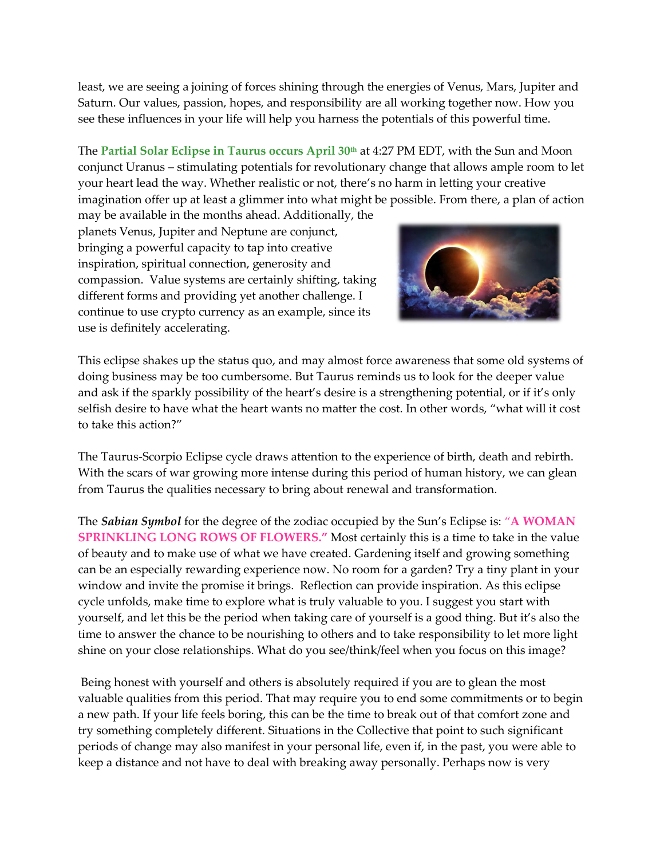least, we are seeing a joining of forces shining through the energies of Venus, Mars, Jupiter and Saturn. Our values, passion, hopes, and responsibility are all working together now. How you see these influences in your life will help you harness the potentials of this powerful time.

The **Partial Solar Eclipse in Taurus occurs April 30th** at 4:27 PM EDT, with the Sun and Moon conjunct Uranus – stimulating potentials for revolutionary change that allows ample room to let your heart lead the way. Whether realistic or not, there's no harm in letting your creative imagination offer up at least a glimmer into what might be possible. From there, a plan of action

may be available in the months ahead. Additionally, the planets Venus, Jupiter and Neptune are conjunct, bringing a powerful capacity to tap into creative inspiration, spiritual connection, generosity and compassion. Value systems are certainly shifting, taking different forms and providing yet another challenge. I continue to use crypto currency as an example, since its use is definitely accelerating.



This eclipse shakes up the status quo, and may almost force awareness that some old systems of doing business may be too cumbersome. But Taurus reminds us to look for the deeper value and ask if the sparkly possibility of the heart's desire is a strengthening potential, or if it's only selfish desire to have what the heart wants no matter the cost. In other words, "what will it cost to take this action?"

The Taurus-Scorpio Eclipse cycle draws attention to the experience of birth, death and rebirth. With the scars of war growing more intense during this period of human history, we can glean from Taurus the qualities necessary to bring about renewal and transformation.

The *Sabian Symbol* for the degree of the zodiac occupied by the Sun's Eclipse is: "**A WOMAN SPRINKLING LONG ROWS OF FLOWERS."** Most certainly this is a time to take in the value of beauty and to make use of what we have created. Gardening itself and growing something can be an especially rewarding experience now. No room for a garden? Try a tiny plant in your window and invite the promise it brings. Reflection can provide inspiration. As this eclipse cycle unfolds, make time to explore what is truly valuable to you. I suggest you start with yourself, and let this be the period when taking care of yourself is a good thing. But it's also the time to answer the chance to be nourishing to others and to take responsibility to let more light shine on your close relationships. What do you see/think/feel when you focus on this image?

Being honest with yourself and others is absolutely required if you are to glean the most valuable qualities from this period. That may require you to end some commitments or to begin a new path. If your life feels boring, this can be the time to break out of that comfort zone and try something completely different. Situations in the Collective that point to such significant periods of change may also manifest in your personal life, even if, in the past, you were able to keep a distance and not have to deal with breaking away personally. Perhaps now is very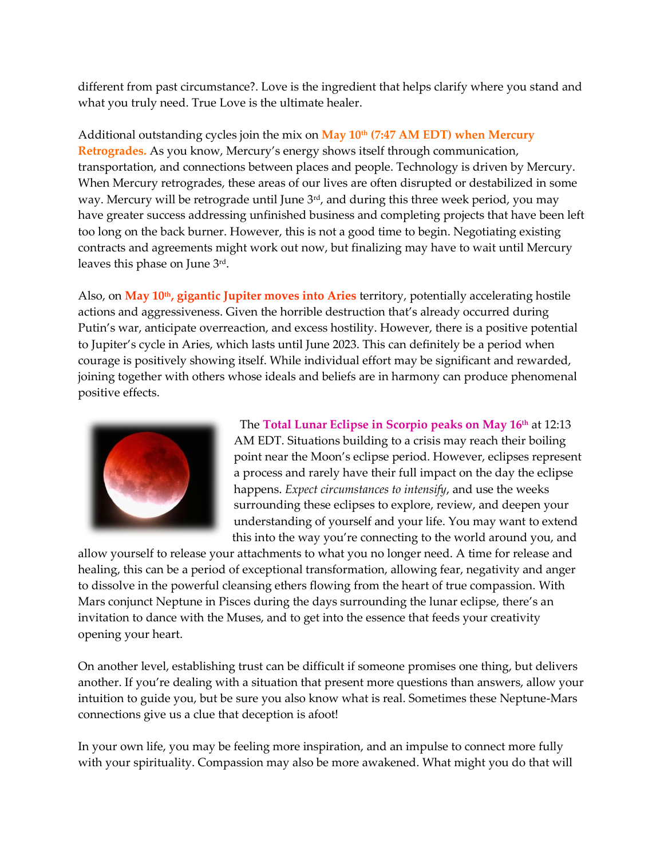different from past circumstance?. Love is the ingredient that helps clarify where you stand and what you truly need. True Love is the ultimate healer.

Additional outstanding cycles join the mix on **May 10th (7:47 AM EDT) when Mercury Retrogrades.** As you know, Mercury's energy shows itself through communication, transportation, and connections between places and people. Technology is driven by Mercury. When Mercury retrogrades, these areas of our lives are often disrupted or destabilized in some way. Mercury will be retrograde until June 3<sup>rd</sup>, and during this three week period, you may have greater success addressing unfinished business and completing projects that have been left too long on the back burner. However, this is not a good time to begin. Negotiating existing contracts and agreements might work out now, but finalizing may have to wait until Mercury leaves this phase on June 3rd .

Also, on **May 10th, gigantic Jupiter moves into Aries** territory, potentially accelerating hostile actions and aggressiveness. Given the horrible destruction that's already occurred during Putin's war, anticipate overreaction, and excess hostility. However, there is a positive potential to Jupiter's cycle in Aries, which lasts until June 2023. This can definitely be a period when courage is positively showing itself. While individual effort may be significant and rewarded, joining together with others whose ideals and beliefs are in harmony can produce phenomenal positive effects.



The **Total Lunar Eclipse in Scorpio peaks on May 16th** at 12:13 AM EDT. Situations building to a crisis may reach their boiling point near the Moon's eclipse period. However, eclipses represent a process and rarely have their full impact on the day the eclipse happens. *Expect circumstances to intensify*, and use the weeks surrounding these eclipses to explore, review, and deepen your understanding of yourself and your life. You may want to extend this into the way you're connecting to the world around you, and

allow yourself to release your attachments to what you no longer need. A time for release and healing, this can be a period of exceptional transformation, allowing fear, negativity and anger to dissolve in the powerful cleansing ethers flowing from the heart of true compassion. With Mars conjunct Neptune in Pisces during the days surrounding the lunar eclipse, there's an invitation to dance with the Muses, and to get into the essence that feeds your creativity opening your heart.

On another level, establishing trust can be difficult if someone promises one thing, but delivers another. If you're dealing with a situation that present more questions than answers, allow your intuition to guide you, but be sure you also know what is real. Sometimes these Neptune-Mars connections give us a clue that deception is afoot!

In your own life, you may be feeling more inspiration, and an impulse to connect more fully with your spirituality. Compassion may also be more awakened. What might you do that will